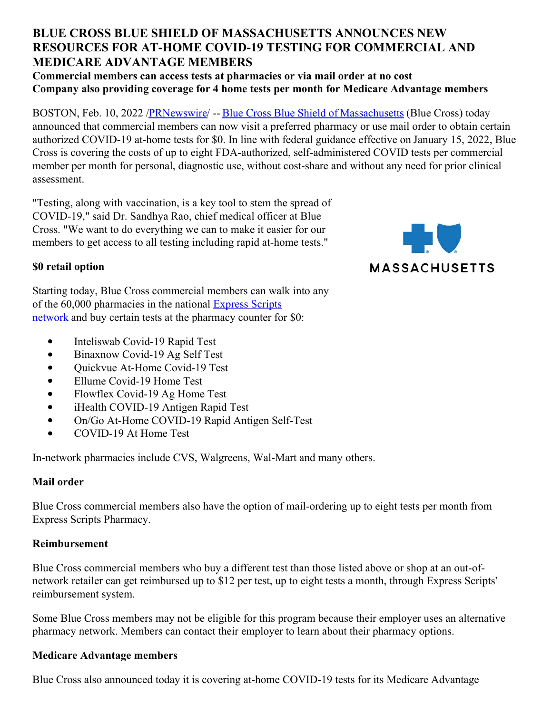# **BLUE CROSS BLUE SHIELD OF MASSACHUSETTS ANNOUNCES NEW RESOURCES FOR AT-HOME COVID-19 TESTING FOR COMMERCIAL AND MEDICARE ADVANTAGE MEMBERS**

**Commercial members can access tests at pharmacies or via mail order at no cost Company also providing coverage for 4 home tests per month for Medicare Advantage members**

BOSTON, Feb. 10, 2022 /**PRNewswire/** -- Blue Cross Blue Shield of [Massachusetts](https://c212.net/c/link/?t=0&l=en&o=3439499-1&h=1998498889&u=http%3A%2F%2Fwww.bluecrossma.com%2F%3Ffrom%3DBWHomeHeaderBanner&a=Blue+Cross+Blue+Shield+of+Massachusetts) (Blue Cross) today announced that commercial members can now visit a preferred pharmacy or use mail order to obtain certain authorized COVID-19 at-home tests for \$0. In line with federal guidance effective on January 15, 2022, Blue Cross is covering the costs of up to eight FDA-authorized, self-administered COVID tests per commercial member per month for personal, diagnostic use, without cost-share and without any need for prior clinical assessment.

"Testing, along with vaccination, is a key tool to stem the spread of COVID-19," said Dr. Sandhya Rao, chief medical officer at Blue Cross. "We want to do everything we can to make it easier for our members to get access to all testing including rapid at-home tests."

## **\$0 retail option**

Starting today, Blue Cross commercial members can walk into any of the 60,000 [pharmacies](https://c212.net/c/link/?t=0&l=en&o=3439499-1&h=3190643643&u=https%3A%2F%2Fwww.express-scripts.com%2Fconsumer%2Fsite%2Fcommpharmacysearch%3FinvocationType%3Dcommercial%26accessCode%3DNATPLSNAPRF14%26source%3Dredesign%26from%3Doeinfo&a=Express+Scripts+network) in the national Express Scripts network and buy certain tests at the pharmacy counter for \$0:

- $\bullet$ Inteliswab Covid-19 Rapid Test
- Binaxnow Covid-19 Ag Self Test
- Quickvue At-Home Covid-19 Test
- Ellume Covid-19 Home Test
- Flowflex Covid-19 Ag Home Test  $\bullet$
- $\bullet$ iHealth COVID-19 Antigen Rapid Test
- On/Go At-Home COVID-19 Rapid Antigen Self-Test  $\bullet$
- COVID-19 At Home Test

In-network pharmacies include CVS, Walgreens, Wal-Mart and many others.

### **Mail order**

Blue Cross commercial members also have the option of mail-ordering up to eight tests per month from Express Scripts Pharmacy.

### **Reimbursement**

Blue Cross commercial members who buy a different test than those listed above or shop at an out-ofnetwork retailer can get reimbursed up to \$12 per test, up to eight tests a month, through Express Scripts' reimbursement system.

Some Blue Cross members may not be eligible for this program because their employer uses an alternative pharmacy network. Members can contact their employer to learn about their pharmacy options.

### **Medicare Advantage members**

Blue Cross also announced today it is covering at-home COVID-19 tests for its Medicare Advantage